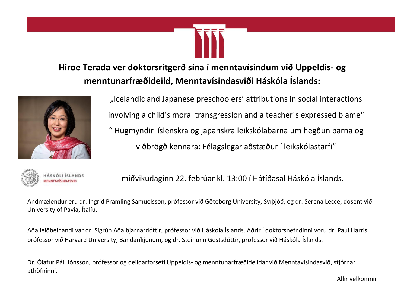# **Hiroe Terada ver doktorsritgerð sína í menntavísindum við Uppeldis- og menntunarfræðideild, Menntavísindasviði Háskóla Íslands:**



"Icelandic and Japanese preschoolers' attributions in social interactions involving a child's moral transgression and a teacher´s expressed blame" " Hugmyndir íslenskra og japanskra leikskólabarna um hegðun barna og viðbrögð kennara: Félagslegar aðstæður í leikskólastarfi"

Askóli Íslands (ag miðvikudaginn 22. febrúar kl. 13:00 í Hátíðasal Háskóla Íslands.

Andmælendur eru dr. Ingrid Pramling Samuelsson, prófessor við Göteborg University, Svíþjóð, og dr. Serena Lecce, dósent við University of Pavia, Ítalíu.

Aðalleiðbeinandi var dr. Sigrún Aðalbjarnardóttir, prófessor við Háskóla Íslands. Aðrir í doktorsnefndinni voru dr. Paul Harris, prófessor við Harvard University, Bandaríkjunum, og dr. Steinunn Gestsdóttir, prófessor við Háskóla Íslands.

Dr. Ólafur Páll Jónsson, prófessor og deildarforseti Uppeldis- og menntunarfræðideildar við Menntavísindasvið, stjórnar athöfninni.

Allir velkomnir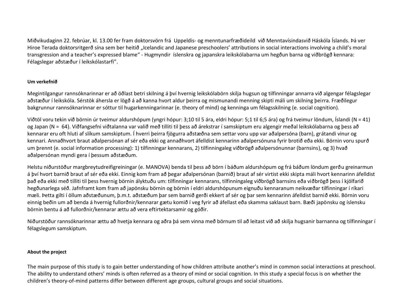Miðvikudaginn 22. febrúar, kl. 13.00 fer fram doktorsvörn frá Uppeldis- og menntunarfræðideild við Menntavísindasvið Háskóla Íslands. Þá ver Hiroe Terada doktorsritgerð sína sem ber heitið "Icelandic and Japanese preschoolers' attributions in social interactions involving a child's moral transgression and a teacher's expressed blame" - Hugmyndir íslenskra og japanskra leikskólabarna um hegðun barna og viðbrögð kennara: Félagslegar aðstæður í leikskólastarfi".

## **Um verkefnið**

Megintilgangur rannsóknarinnar er að öðlast betri skilning á því hvernig leikskólabörn skilja hugsun og tilfinningar annarra við algengar félagslegar aðstæður í leikskóla. Sérstök áhersla er lögð á að kanna hvort aldur þeirra og mismunandi menning skipti máli um skilning þeirra. Fræðilegur bakgrunnur rannsóknarinnar er sóttur til hugarkenningarinnar (e. theory of mind) og kenninga um félagsskilning (e. social cognition).

Viðtöl voru tekin við börnin úr tveimur aldurshópum (yngri hópur: 3;10 til 5 ára, eldri hópur: 5;1 til 6;5 ára) og frá tveimur löndum, Íslandi (N = 41) og Japan (N = 64). Viðfangsefni viðtalanna var valið með tilliti til þess að árekstrar í samskiptum eru algengir meðal leikskólabarna og þess að kennarar eru oft hluti af slíkum samskiptum. Í hverri þeirra fjögurra aðstæðna sem settar voru upp var aðalpersóna (barn), grátandi vinur og kennari. Annaðhvort braut aðalpersónan af sér eða ekki og annaðhvort áfelldist kennarinn aðalpersónuna fyrir brotið eða ekki. Börnin voru spurð um þrennt (e. social information processing): 1) tilfinningar kennarans, 2) tilfinningaleg viðbrögð aðalpersónunnar (barnsins), og 3) hvað aðalpersónan myndi gera í þessum aðstæðum.

Helstu niðurstöður margbreytudreifigreiningar (e. MANOVA) benda til þess að börn í báðum aldurshópum og frá báðum löndum gerðu greinarmun á því hvort barnið braut af sér eða ekki. Einnig kom fram að þegar aðalpersónan (barnið) braut af sér virtist ekki skipta máli hvort kennarinn áfelldist það eða ekki með tilliti til þess hvernig börnin ályktuðu um: tilfinningar kennarans, tilfinningaleg viðbrögð barnsins eða viðbrögð þess í kjölfarið hegðunarlega séð. Jafnframt kom fram að japönsku börnin og börnin í eldri aldurshópunum eignuðu kennaranum neikvæðar tilfinningar í ríkari mæli. Þetta gilti í öllum aðstæðunum, þ.m.t. aðstæðum þar sem barnið gerði ekkert af sér og þar sem kennarinn áfelldist barnið ekki. Börnin voru einnig beðin um að benda á hvernig fullorðnir/kennarar gætu komið í veg fyrir að áfellast eða skamma saklaust barn. Bæði japönsku og íslensku börnin bentu á að fullorðnir/kennarar ættu að vera eftirtektarsamir og góðir.

Niðurstöður rannsóknarinnar ættu að hvetja kennara og aðra þá sem vinna með börnum til að leitast við að skilja hugsanir barnanna og tilfinningar í félagslegum samskiptum.

### **About the project**

The main purpose of this study is to gain better understanding of how children attribute another's mind in common social interactions at preschool. The ability to understand others' minds is often referred as a theory of mind or social cognition. In this study a special focus is on whether the children's theory-of-mind patterns differ between different age groups, cultural groups and social situations.